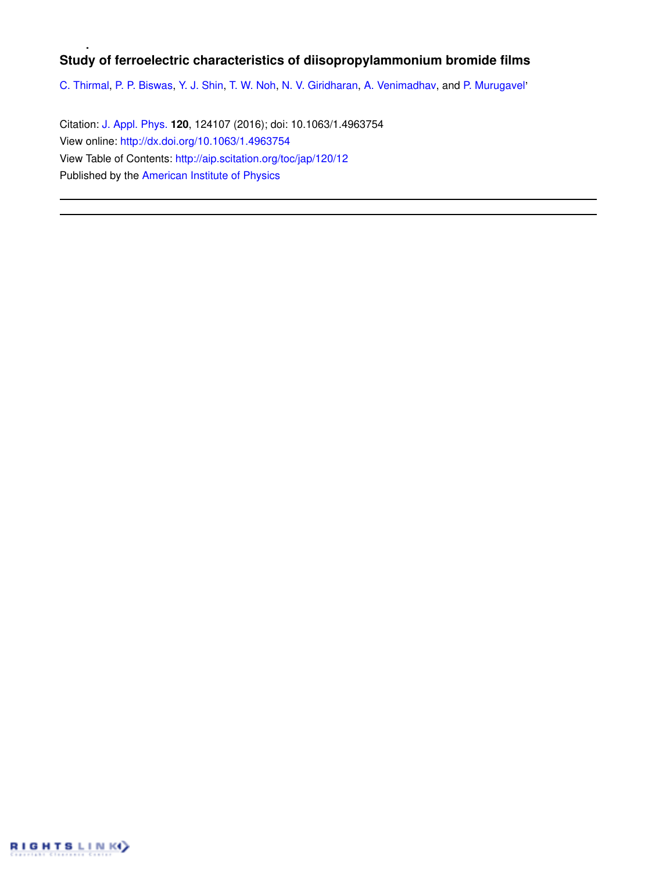# **Study of ferroelectric characteristics of diisopropylammonium bromide films**

C. Thirmal, P. P. Biswas, Y. J. Shin, T. W. Noh, N. V. Giridharan, A. Venimadhav, and P. Murugavel'

Citation: J. Appl. Phys. **120**, 124107 (2016); doi: 10.1063/1.4963754 View online: http://dx.doi.org/10.1063/1.4963754 View Table of Contents: http://aip.scitation.org/toc/jap/120/12 Published by the American Institute of Physics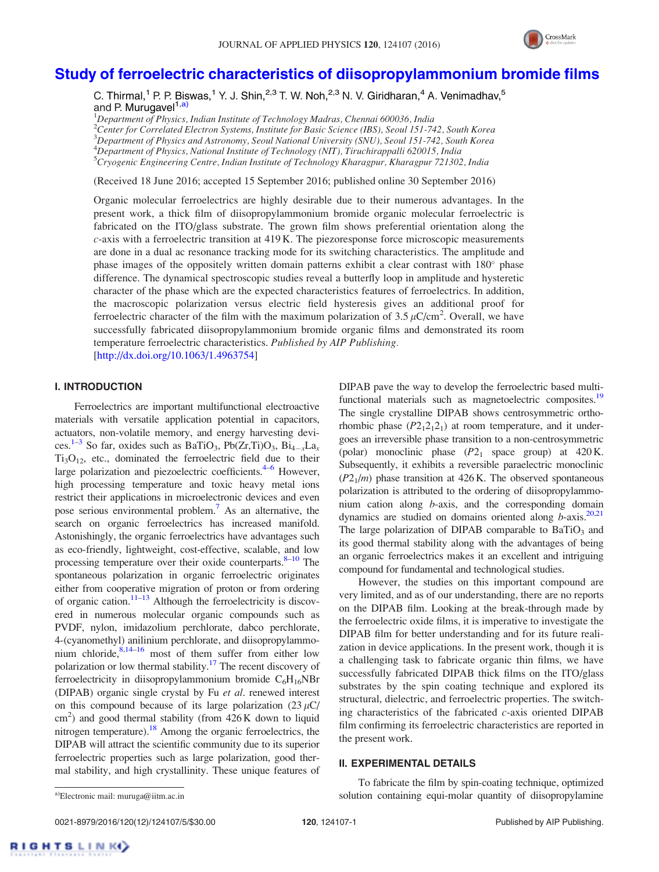

# Study of ferroelectric characteristics of diisopropylammonium bromide films

C. Thirmal,<sup>1</sup> P. P. Biswas,<sup>1</sup> Y. J. Shin,<sup>2,3</sup> T. W. Noh,<sup>2,3</sup> N. V. Giridharan,<sup>4</sup> A. Venimadhav,<sup>5</sup> and P. Murugavel<sup>1,a)</sup>

 $1$ Department of Physics, Indian Institute of Technology Madras, Chennai 600036, India  $^{2}$ Center for Correlated Electron Systems, Institute for Basic Science (IBS), Seoul 151-742, South Korea  $3$ Department of Physics and Astronomy, Seoul National University (SNU), Seoul 151-742, South Korea  $^{4}$ Department of Physics, National Institute of Technology (NIT), Tiruchirappalli 620015, India <sup>5</sup>Cryogenic Engineering Centre, Indian Institute of Technology Kharagpur, Kharagpur 721302, India

(Received 18 June 2016; accepted 15 September 2016; published online 30 September 2016)

Organic molecular ferroelectrics are highly desirable due to their numerous advantages. In the present work, a thick film of diisopropylammonium bromide organic molecular ferroelectric is fabricated on the ITO/glass substrate. The grown film shows preferential orientation along the c-axis with a ferroelectric transition at 419 K. The piezoresponse force microscopic measurements are done in a dual ac resonance tracking mode for its switching characteristics. The amplitude and phase images of the oppositely written domain patterns exhibit a clear contrast with 180° phase difference. The dynamical spectroscopic studies reveal a butterfly loop in amplitude and hysteretic character of the phase which are the expected characteristics features of ferroelectrics. In addition, the macroscopic polarization versus electric field hysteresis gives an additional proof for ferroelectric character of the film with the maximum polarization of 3.5  $\mu$ C/cm<sup>2</sup>. Overall, we have successfully fabricated diisopropylammonium bromide organic films and demonstrated its room temperature ferroelectric characteristics. Published by AIP Publishing. [http://dx.doi.org/10.1063/1.4963754]

# I. INTRODUCTION

Ferroelectrics are important multifunctional electroactive materials with versatile application potential in capacitors, actuators, non-volatile memory, and energy harvesting devices.<sup>1–3</sup> So far, oxides such as BaTiO<sub>3</sub>, Pb(Zr,Ti)O<sub>3</sub>, Bi<sub>4–x</sub>La<sub>x</sub>  $Ti<sub>3</sub>O<sub>12</sub>$ , etc., dominated the ferroelectric field due to their large polarization and piezoelectric coefficients.<sup>4–6</sup> However, high processing temperature and toxic heavy metal ions restrict their applications in microelectronic devices and even pose serious environmental problem.<sup>7</sup> As an alternative, the search on organic ferroelectrics has increased manifold. Astonishingly, the organic ferroelectrics have advantages such as eco-friendly, lightweight, cost-effective, scalable, and low processing temperature over their oxide counterparts.  $8-10$  The spontaneous polarization in organic ferroelectric originates either from cooperative migration of proton or from ordering of organic cation.<sup>11–13</sup> Although the ferroelectricity is discovered in numerous molecular organic compounds such as PVDF, nylon, imidazolium perchlorate, dabco perchlorate, 4-(cyanomethyl) anilinium perchlorate, and diisopropylammonium chloride, $8,14-16$  most of them suffer from either low polarization or low thermal stability.<sup>17</sup> The recent discovery of ferroelectricity in diisopropylammonium bromide  $C_6H_{16}NBr$ (DIPAB) organic single crystal by Fu et al. renewed interest on this compound because of its large polarization  $(23 \mu C)$  $\text{cm}^2$ ) and good thermal stability (from 426 K down to liquid nitrogen temperature).<sup>18</sup> Among the organic ferroelectrics, the DIPAB will attract the scientific community due to its superior ferroelectric properties such as large polarization, good thermal stability, and high crystallinity. These unique features of DIPAB pave the way to develop the ferroelectric based multifunctional materials such as magnetoelectric composites.<sup>19</sup> The single crystalline DIPAB shows centrosymmetric orthorhombic phase  $(P2<sub>1</sub>2<sub>1</sub>2<sub>1</sub>)$  at room temperature, and it undergoes an irreversible phase transition to a non-centrosymmetric (polar) monoclinic phase  $(P2<sub>1</sub>$  space group) at  $420 \text{ K}$ . Subsequently, it exhibits a reversible paraelectric monoclinic  $(P2<sub>1</sub>/m)$  phase transition at 426 K. The observed spontaneous polarization is attributed to the ordering of diisopropylammonium cation along b-axis, and the corresponding domain dynamics are studied on domains oriented along  $b$ -axis.<sup>20,21</sup> The large polarization of DIPAB comparable to  $BaTiO<sub>3</sub>$  and its good thermal stability along with the advantages of being an organic ferroelectrics makes it an excellent and intriguing compound for fundamental and technological studies.

However, the studies on this important compound are very limited, and as of our understanding, there are no reports on the DIPAB film. Looking at the break-through made by the ferroelectric oxide films, it is imperative to investigate the DIPAB film for better understanding and for its future realization in device applications. In the present work, though it is a challenging task to fabricate organic thin films, we have successfully fabricated DIPAB thick films on the ITO/glass substrates by the spin coating technique and explored its structural, dielectric, and ferroelectric properties. The switching characteristics of the fabricated  $c$ -axis oriented DIPAB film confirming its ferroelectric characteristics are reported in the present work.

## II. EXPERIMENTAL DETAILS

0021-8979/2016/120(12)/124107/5/\$30.00 120, 124107-1 Published by AIP Publishing.

To fabricate the film by spin-coating technique, optimized a)Electronic mail: muruga@iitm.ac.in and a containing equi-molar quantity of diisopropylamine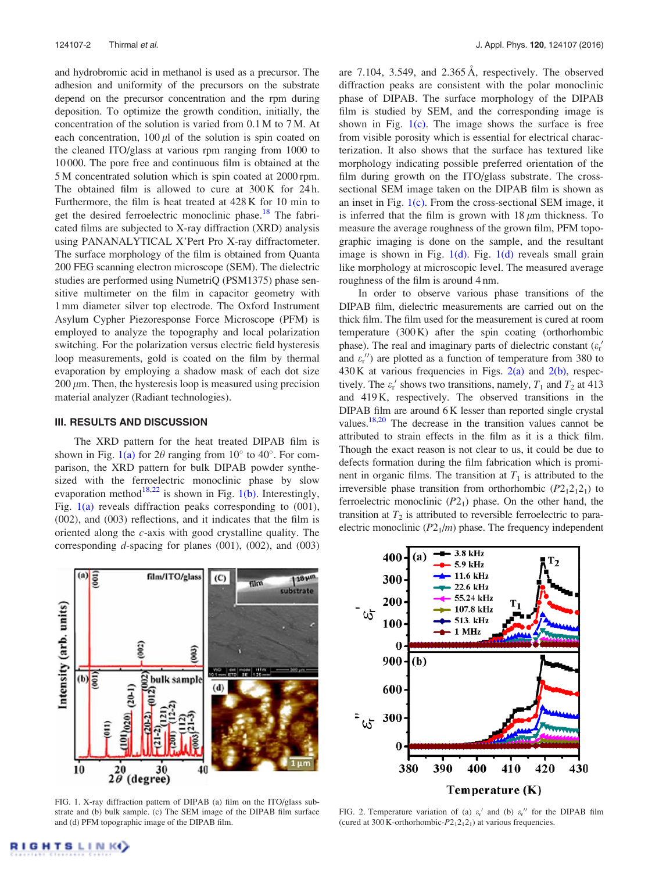and hydrobromic acid in methanol is used as a precursor. The adhesion and uniformity of the precursors on the substrate depend on the precursor concentration and the rpm during deposition. To optimize the growth condition, initially, the concentration of the solution is varied from 0.1 M to 7 M. At each concentration,  $100 \mu l$  of the solution is spin coated on the cleaned ITO/glass at various rpm ranging from 1000 to 10 000. The pore free and continuous film is obtained at the 5 M concentrated solution which is spin coated at 2000 rpm. The obtained film is allowed to cure at  $300 \text{ K}$  for 24h. Furthermore, the film is heat treated at 428 K for 10 min to get the desired ferroelectric monoclinic phase.<sup>18</sup> The fabricated films are subjected to X-ray diffraction (XRD) analysis using PANANALYTICAL X'Pert Pro X-ray diffractometer. The surface morphology of the film is obtained from Quanta 200 FEG scanning electron microscope (SEM). The dielectric studies are performed using NumetriQ (PSM1375) phase sensitive multimeter on the film in capacitor geometry with 1 mm diameter silver top electrode. The Oxford Instrument Asylum Cypher Piezoresponse Force Microscope (PFM) is employed to analyze the topography and local polarization switching. For the polarization versus electric field hysteresis loop measurements, gold is coated on the film by thermal evaporation by employing a shadow mask of each dot size  $200 \mu m$ . Then, the hysteresis loop is measured using precision material analyzer (Radiant technologies).

### III. RESULTS AND DISCUSSION

The XRD pattern for the heat treated DIPAB film is shown in Fig. 1(a) for  $2\theta$  ranging from  $10^{\circ}$  to  $40^{\circ}$ . For comparison, the XRD pattern for bulk DIPAB powder synthesized with the ferroelectric monoclinic phase by slow evaporation method<sup>18,22</sup> is shown in Fig. 1(b). Interestingly, Fig.  $1(a)$  reveals diffraction peaks corresponding to  $(001)$ , (002), and (003) reflections, and it indicates that the film is oriented along the  $c$ -axis with good crystalline quality. The corresponding  $d$ -spacing for planes (001), (002), and (003)

are 7.104, 3.549, and 2.365 Å, respectively. The observed diffraction peaks are consistent with the polar monoclinic phase of DIPAB. The surface morphology of the DIPAB film is studied by SEM, and the corresponding image is shown in Fig.  $1(c)$ . The image shows the surface is free from visible porosity which is essential for electrical characterization. It also shows that the surface has textured like morphology indicating possible preferred orientation of the film during growth on the ITO/glass substrate. The crosssectional SEM image taken on the DIPAB film is shown as an inset in Fig. 1(c). From the cross-sectional SEM image, it is inferred that the film is grown with  $18 \mu m$  thickness. To measure the average roughness of the grown film, PFM topographic imaging is done on the sample, and the resultant image is shown in Fig.  $1(d)$ . Fig.  $1(d)$  reveals small grain like morphology at microscopic level. The measured average roughness of the film is around 4 nm.

In order to observe various phase transitions of the DIPAB film, dielectric measurements are carried out on the thick film. The film used for the measurement is cured at room temperature (300 K) after the spin coating (orthorhombic phase). The real and imaginary parts of dielectric constant ( $\varepsilon_r$ <sup>+</sup> and  $\varepsilon$ <sup>r</sup> $\prime$ ) are plotted as a function of temperature from 380 to  $430$  K at various frequencies in Figs.  $2(a)$  and  $2(b)$ , respectively. The  $\varepsilon_{r}$ ' shows two transitions, namely,  $T_1$  and  $T_2$  at 413 and 419 K, respectively. The observed transitions in the DIPAB film are around 6 K lesser than reported single crystal values.<sup>18,20</sup> The decrease in the transition values cannot be attributed to strain effects in the film as it is a thick film. Though the exact reason is not clear to us, it could be due to defects formation during the film fabrication which is prominent in organic films. The transition at  $T_1$  is attributed to the irreversible phase transition from orthorhombic  $(P2<sub>1</sub>2<sub>1</sub>2<sub>1</sub>)$  to ferroelectric monoclinic  $(P2<sub>1</sub>)$  phase. On the other hand, the transition at  $T_2$  is attributed to reversible ferroelectric to paraelectric monoclinic  $(P2<sub>1</sub>/m)$  phase. The frequency independent



FIG. 1. X-ray diffraction pattern of DIPAB (a) film on the ITO/glass substrate and (b) bulk sample. (c) The SEM image of the DIPAB film surface and (d) PFM topographic image of the DIPAB film.



FIG. 2. Temperature variation of (a)  $\varepsilon$ <sup>'</sup> and (b)  $\varepsilon$ <sup>''</sup> for the DIPAB film (cured at  $300$  K-orthorhombic- $P2_12_12_1$ ) at various frequencies.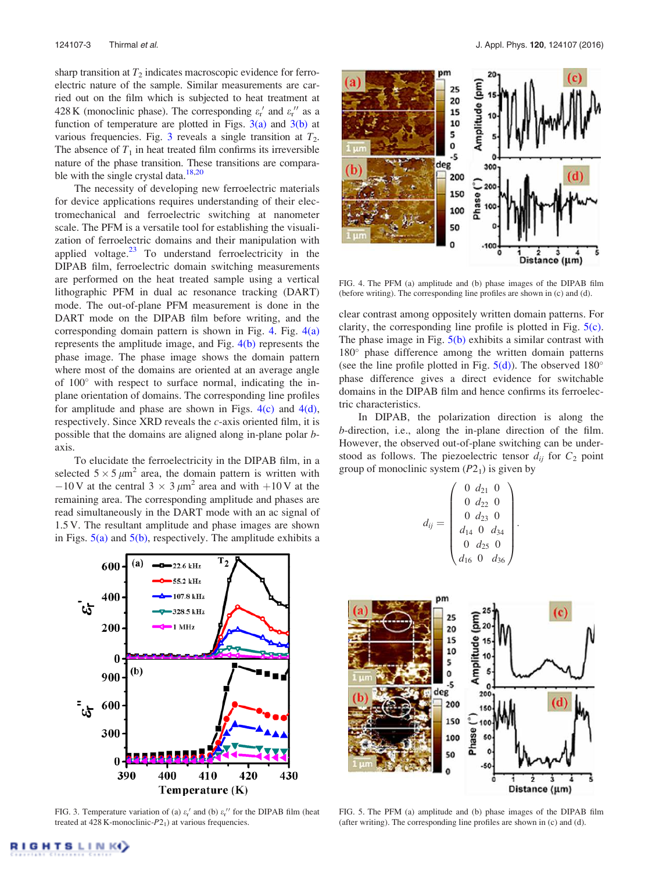sharp transition at  $T_2$  indicates macroscopic evidence for ferroelectric nature of the sample. Similar measurements are carried out on the film which is subjected to heat treatment at 428 K (monoclinic phase). The corresponding  $\varepsilon$ <sup>'</sup> and  $\varepsilon$ <sup>'</sup> as a function of temperature are plotted in Figs.  $3(a)$  and  $3(b)$  at various frequencies. Fig. 3 reveals a single transition at  $T_2$ . The absence of  $T_1$  in heat treated film confirms its irreversible nature of the phase transition. These transitions are comparable with the single crystal data. $18,20$ 

The necessity of developing new ferroelectric materials for device applications requires understanding of their electromechanical and ferroelectric switching at nanometer scale. The PFM is a versatile tool for establishing the visualization of ferroelectric domains and their manipulation with applied voltage. $23$  To understand ferroelectricity in the DIPAB film, ferroelectric domain switching measurements are performed on the heat treated sample using a vertical lithographic PFM in dual ac resonance tracking (DART) mode. The out-of-plane PFM measurement is done in the DART mode on the DIPAB film before writing, and the corresponding domain pattern is shown in Fig. 4. Fig.  $4(a)$ represents the amplitude image, and Fig. 4(b) represents the phase image. The phase image shows the domain pattern where most of the domains are oriented at an average angle of 100° with respect to surface normal, indicating the inplane orientation of domains. The corresponding line profiles for amplitude and phase are shown in Figs.  $4(c)$  and  $4(d)$ , respectively. Since XRD reveals the  $c$ -axis oriented film, it is possible that the domains are aligned along in-plane polar baxis.

To elucidate the ferroelectricity in the DIPAB film, in a selected  $5 \times 5 \mu m^2$  area, the domain pattern is written with  $-10$  V at the central 3  $\times$  3  $\mu$ m<sup>2</sup> area and with  $+10$  V at the remaining area. The corresponding amplitude and phases are read simultaneously in the DART mode with an ac signal of 1.5 V. The resultant amplitude and phase images are shown in Figs.  $5(a)$  and  $5(b)$ , respectively. The amplitude exhibits a



FIG. 3. Temperature variation of (a)  $\varepsilon_r'$  and (b)  $\varepsilon_r''$  for the DIPAB film (heat treated at 428 K-monoclinic- $P2_1$ ) at various frequencies.



FIG. 4. The PFM (a) amplitude and (b) phase images of the DIPAB film (before writing). The corresponding line profiles are shown in (c) and (d).

clear contrast among oppositely written domain patterns. For clarity, the corresponding line profile is plotted in Fig. 5(c). The phase image in Fig.  $5(b)$  exhibits a similar contrast with 180° phase difference among the written domain patterns (see the line profile plotted in Fig.  $5(d)$ ). The observed 180 $^{\circ}$ phase difference gives a direct evidence for switchable domains in the DIPAB film and hence confirms its ferroelectric characteristics.

In DIPAB, the polarization direction is along the b-direction, i.e., along the in-plane direction of the film. However, the observed out-of-plane switching can be understood as follows. The piezoelectric tensor  $d_{ij}$  for  $C_2$  point group of monoclinic system  $(P2<sub>1</sub>)$  is given by

$$
d_{ij} = \begin{pmatrix} 0 & d_{21} & 0 \\ 0 & d_{22} & 0 \\ 0 & d_{23} & 0 \\ d_{14} & 0 & d_{34} \\ 0 & d_{25} & 0 \\ d_{16} & 0 & d_{36} \end{pmatrix}
$$

:



FIG. 5. The PFM (a) amplitude and (b) phase images of the DIPAB film (after writing). The corresponding line profiles are shown in (c) and (d).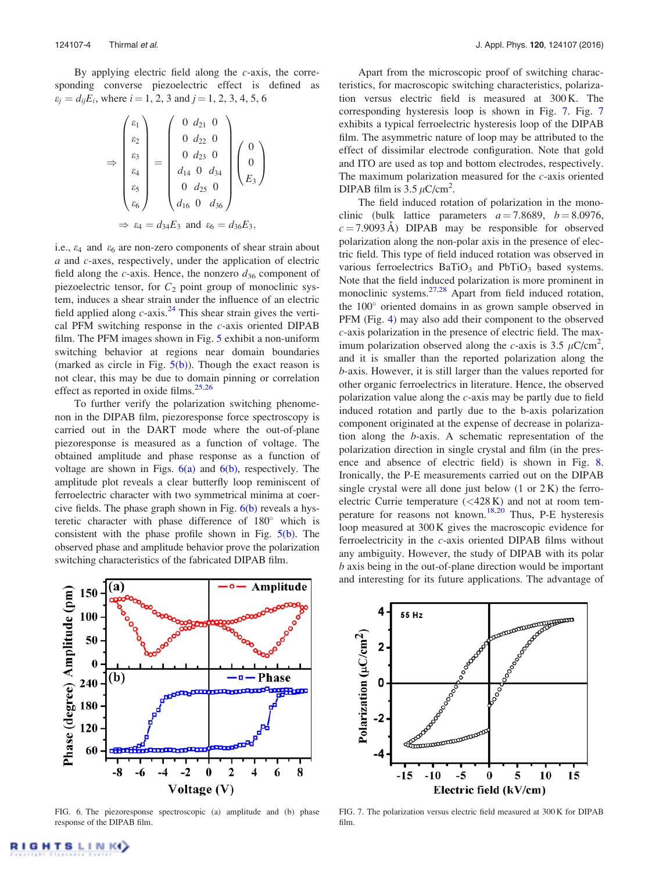By applying electric field along the  $c$ -axis, the corresponding converse piezoelectric effect is defined as  $\varepsilon_j = d_{ij} E_i$ , where  $i = 1, 2, 3$  and  $j = 1, 2, 3, 4, 5, 6$ 

$$
\Rightarrow \begin{pmatrix} \varepsilon_1 \\ \varepsilon_2 \\ \varepsilon_3 \\ \varepsilon_4 \\ \varepsilon_5 \\ \varepsilon_6 \end{pmatrix} = \begin{pmatrix} 0 & d_{21} & 0 \\ 0 & d_{22} & 0 \\ 0 & d_{23} & 0 \\ d_{14} & 0 & d_{34} \\ d_{14} & 0 & d_{34} \\ 0 & d_{25} & 0 \\ d_{16} & 0 & d_{36} \end{pmatrix} \begin{pmatrix} 0 \\ 0 \\ E_3 \end{pmatrix}
$$

$$
\Rightarrow \varepsilon_4 = d_{34}E_3 \text{ and } \varepsilon_6 = d_{36}E_3,
$$

i.e.,  $\varepsilon_4$  and  $\varepsilon_6$  are non-zero components of shear strain about a and c-axes, respectively, under the application of electric field along the  $c$ -axis. Hence, the nonzero  $d_{36}$  component of piezoelectric tensor, for  $C_2$  point group of monoclinic system, induces a shear strain under the influence of an electric field applied along  $c$ -axis.<sup>24</sup> This shear strain gives the vertical PFM switching response in the  $c$ -axis oriented DIPAB film. The PFM images shown in Fig. 5 exhibit a non-uniform switching behavior at regions near domain boundaries (marked as circle in Fig.  $5(b)$ ). Though the exact reason is not clear, this may be due to domain pinning or correlation effect as reported in oxide films.<sup>25,26</sup>

To further verify the polarization switching phenomenon in the DIPAB film, piezoresponse force spectroscopy is carried out in the DART mode where the out-of-plane piezoresponse is measured as a function of voltage. The obtained amplitude and phase response as a function of voltage are shown in Figs.  $6(a)$  and  $6(b)$ , respectively. The amplitude plot reveals a clear butterfly loop reminiscent of ferroelectric character with two symmetrical minima at coercive fields. The phase graph shown in Fig.  $6(b)$  reveals a hysteretic character with phase difference of 180° which is consistent with the phase profile shown in Fig.  $5(b)$ . The observed phase and amplitude behavior prove the polarization switching characteristics of the fabricated DIPAB film.

Apart from the microscopic proof of switching characteristics, for macroscopic switching characteristics, polarization versus electric field is measured at 300 K. The corresponding hysteresis loop is shown in Fig. 7. Fig. 7 exhibits a typical ferroelectric hysteresis loop of the DIPAB film. The asymmetric nature of loop may be attributed to the effect of dissimilar electrode configuration. Note that gold and ITO are used as top and bottom electrodes, respectively. The maximum polarization measured for the  $c$ -axis oriented DIPAB film is  $3.5 \mu$ C/cm<sup>2</sup>.

The field induced rotation of polarization in the monoclinic (bulk lattice parameters  $a = 7.8689$ ,  $b = 8.0976$ ,  $c = 7.9093 \text{ Å}$ ) DIPAB may be responsible for observed polarization along the non-polar axis in the presence of electric field. This type of field induced rotation was observed in various ferroelectrics  $BaTiO<sub>3</sub>$  and  $PbTiO<sub>3</sub>$  based systems. Note that the field induced polarization is more prominent in monoclinic systems. $27,28$  Apart from field induced rotation, the 100° oriented domains in as grown sample observed in PFM (Fig. 4) may also add their component to the observed c-axis polarization in the presence of electric field. The maximum polarization observed along the c-axis is 3.5  $\mu$ C/cm<sup>2</sup>, and it is smaller than the reported polarization along the b-axis. However, it is still larger than the values reported for other organic ferroelectrics in literature. Hence, the observed polarization value along the c-axis may be partly due to field induced rotation and partly due to the b-axis polarization component originated at the expense of decrease in polarization along the b-axis. A schematic representation of the polarization direction in single crystal and film (in the presence and absence of electric field) is shown in Fig. 8. Ironically, the P-E measurements carried out on the DIPAB single crystal were all done just below  $(1 \text{ or } 2 \text{ K})$  the ferroelectric Currie temperature  $( $428 \text{ K}$ )$  and not at room temperature for reasons not known.<sup>18,20</sup> Thus, P-E hysteresis loop measured at 300 K gives the macroscopic evidence for ferroelectricity in the c-axis oriented DIPAB films without any ambiguity. However, the study of DIPAB with its polar b axis being in the out-of-plane direction would be important and interesting for its future applications. The advantage of



FIG. 6. The piezoresponse spectroscopic (a) amplitude and (b) phase response of the DIPAB film.



FIG. 7. The polarization versus electric field measured at 300 K for DIPAB film.